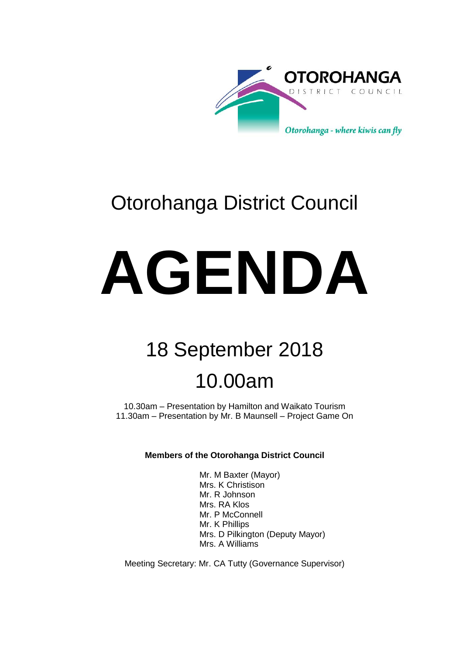

# Otorohanga District Council

# **AGENDA**

# 18 September 2018 10.00am

10.30am – Presentation by Hamilton and Waikato Tourism 11.30am – Presentation by Mr. B Maunsell – Project Game On

**Members of the Otorohanga District Council**

Mr. M Baxter (Mayor) Mrs. K Christison Mr. R Johnson Mrs. RA Klos Mr. P McConnell Mr. K Phillips Mrs. D Pilkington (Deputy Mayor) Mrs. A Williams

Meeting Secretary: Mr. CA Tutty (Governance Supervisor)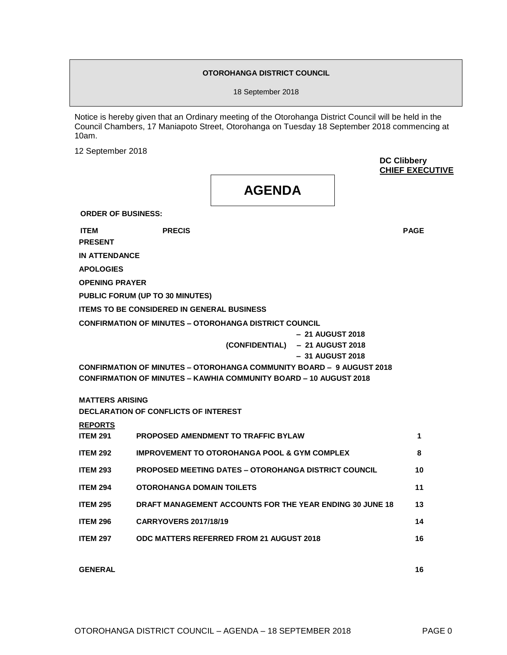#### **OTOROHANGA DISTRICT COUNCIL**

18 September 2018

Notice is hereby given that an Ordinary meeting of the Otorohanga District Council will be held in the Council Chambers, 17 Maniapoto Street, Otorohanga on Tuesday 18 September 2018 commencing at 10am.

12 September 2018

**DC Clibbery CHIEF EXECUTIVE**

**AGENDA**

**ORDER OF BUSINESS:**

**ITEM PRECIS PAGE PRESENT**

**IN ATTENDANCE**

**APOLOGIES**

**OPENING PRAYER**

**PUBLIC FORUM (UP TO 30 MINUTES)** 

**ITEMS TO BE CONSIDERED IN GENERAL BUSINESS**

**CONFIRMATION OF MINUTES – OTOROHANGA DISTRICT COUNCIL** 

 **– 21 AUGUST 2018**

 **(CONFIDENTIAL) – 21 AUGUST 2018**

 **– 31 AUGUST 2018**

**CONFIRMATION OF MINUTES – OTOROHANGA COMMUNITY BOARD – 9 AUGUST 2018 CONFIRMATION OF MINUTES – KAWHIA COMMUNITY BOARD – 10 AUGUST 2018**

**MATTERS ARISING** 

| DECLARATION OF CONFLICTS OF INTEREST |  |
|--------------------------------------|--|
| <b>REPORTS</b>                       |  |

| <b>ITEM 291</b> | <b>PROPOSED AMENDMENT TO TRAFFIC BYLAW</b>                  |    |
|-----------------|-------------------------------------------------------------|----|
| <b>ITEM 292</b> | <b>IMPROVEMENT TO OTOROHANGA POOL &amp; GYM COMPLEX</b>     | 8  |
| <b>ITEM 293</b> | <b>PROPOSED MEETING DATES - OTOROHANGA DISTRICT COUNCIL</b> | 10 |
| <b>ITEM 294</b> | OTOROHANGA DOMAIN TOILETS                                   | 11 |
| <b>ITEM 295</b> | DRAFT MANAGEMENT ACCOUNTS FOR THE YEAR ENDING 30 JUNE 18    | 13 |
| <b>ITEM 296</b> | <b>CARRYOVERS 2017/18/19</b>                                | 14 |
| <b>ITEM 297</b> | ODC MATTERS REFERRED FROM 21 AUGUST 2018                    | 16 |
|                 |                                                             |    |

**GENERAL 16**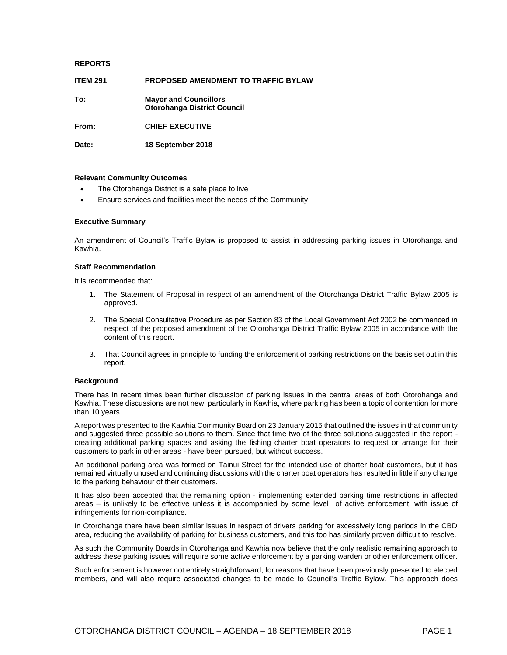#### **REPORTS**

| <b>ITEM 291</b> | <b>PROPOSED AMENDMENT TO TRAFFIC BYLAW</b>                         |
|-----------------|--------------------------------------------------------------------|
| To:             | <b>Mayor and Councillors</b><br><b>Otorohanga District Council</b> |
| From:           | <b>CHIEF EXECUTIVE</b>                                             |
| Date:           | 18 September 2018                                                  |

#### **Relevant Community Outcomes**

- The Otorohanga District is a safe place to live
- Ensure services and facilities meet the needs of the Community

#### **Executive Summary**

An amendment of Council's Traffic Bylaw is proposed to assist in addressing parking issues in Otorohanga and Kawhia.

#### **Staff Recommendation**

It is recommended that:

- 1. The Statement of Proposal in respect of an amendment of the Otorohanga District Traffic Bylaw 2005 is approved.
- 2. The Special Consultative Procedure as per Section 83 of the Local Government Act 2002 be commenced in respect of the proposed amendment of the Otorohanga District Traffic Bylaw 2005 in accordance with the content of this report.
- 3. That Council agrees in principle to funding the enforcement of parking restrictions on the basis set out in this report.

#### **Background**

There has in recent times been further discussion of parking issues in the central areas of both Otorohanga and Kawhia. These discussions are not new, particularly in Kawhia, where parking has been a topic of contention for more than 10 years.

A report was presented to the Kawhia Community Board on 23 January 2015 that outlined the issues in that community and suggested three possible solutions to them. Since that time two of the three solutions suggested in the report creating additional parking spaces and asking the fishing charter boat operators to request or arrange for their customers to park in other areas - have been pursued, but without success.

An additional parking area was formed on Tainui Street for the intended use of charter boat customers, but it has remained virtually unused and continuing discussions with the charter boat operators has resulted in little if any change to the parking behaviour of their customers.

It has also been accepted that the remaining option - implementing extended parking time restrictions in affected areas – is unlikely to be effective unless it is accompanied by some level of active enforcement, with issue of infringements for non-compliance.

In Otorohanga there have been similar issues in respect of drivers parking for excessively long periods in the CBD area, reducing the availability of parking for business customers, and this too has similarly proven difficult to resolve.

As such the Community Boards in Otorohanga and Kawhia now believe that the only realistic remaining approach to address these parking issues will require some active enforcement by a parking warden or other enforcement officer.

Such enforcement is however not entirely straightforward, for reasons that have been previously presented to elected members, and will also require associated changes to be made to Council's Traffic Bylaw. This approach does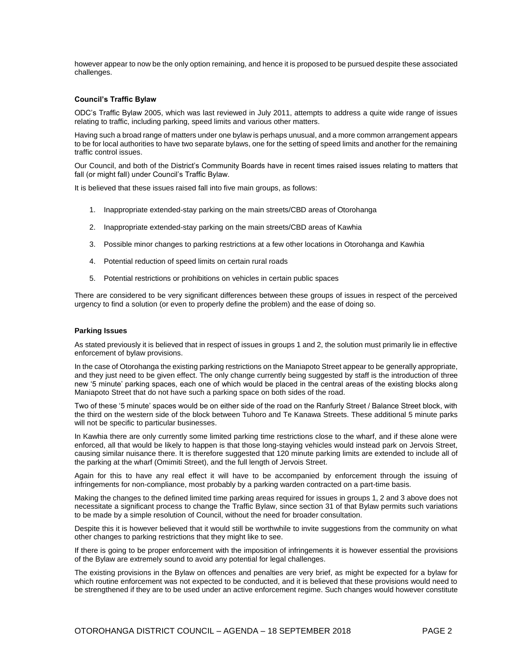however appear to now be the only option remaining, and hence it is proposed to be pursued despite these associated challenges.

#### **Council's Traffic Bylaw**

ODC's Traffic Bylaw 2005, which was last reviewed in July 2011, attempts to address a quite wide range of issues relating to traffic, including parking, speed limits and various other matters.

Having such a broad range of matters under one bylaw is perhaps unusual, and a more common arrangement appears to be for local authorities to have two separate bylaws, one for the setting of speed limits and another for the remaining traffic control issues.

Our Council, and both of the District's Community Boards have in recent times raised issues relating to matters that fall (or might fall) under Council's Traffic Bylaw.

It is believed that these issues raised fall into five main groups, as follows:

- 1. Inappropriate extended-stay parking on the main streets/CBD areas of Otorohanga
- 2. Inappropriate extended-stay parking on the main streets/CBD areas of Kawhia
- 3. Possible minor changes to parking restrictions at a few other locations in Otorohanga and Kawhia
- 4. Potential reduction of speed limits on certain rural roads
- 5. Potential restrictions or prohibitions on vehicles in certain public spaces

There are considered to be very significant differences between these groups of issues in respect of the perceived urgency to find a solution (or even to properly define the problem) and the ease of doing so.

#### **Parking Issues**

As stated previously it is believed that in respect of issues in groups 1 and 2, the solution must primarily lie in effective enforcement of bylaw provisions.

In the case of Otorohanga the existing parking restrictions on the Maniapoto Street appear to be generally appropriate, and they just need to be given effect. The only change currently being suggested by staff is the introduction of three new '5 minute' parking spaces, each one of which would be placed in the central areas of the existing blocks along Maniapoto Street that do not have such a parking space on both sides of the road.

Two of these '5 minute' spaces would be on either side of the road on the Ranfurly Street / Balance Street block, with the third on the western side of the block between Tuhoro and Te Kanawa Streets. These additional 5 minute parks will not be specific to particular businesses.

In Kawhia there are only currently some limited parking time restrictions close to the wharf, and if these alone were enforced, all that would be likely to happen is that those long-staying vehicles would instead park on Jervois Street, causing similar nuisance there. It is therefore suggested that 120 minute parking limits are extended to include all of the parking at the wharf (Omimiti Street), and the full length of Jervois Street.

Again for this to have any real effect it will have to be accompanied by enforcement through the issuing of infringements for non-compliance, most probably by a parking warden contracted on a part-time basis.

Making the changes to the defined limited time parking areas required for issues in groups 1, 2 and 3 above does not necessitate a significant process to change the Traffic Bylaw, since section 31 of that Bylaw permits such variations to be made by a simple resolution of Council, without the need for broader consultation.

Despite this it is however believed that it would still be worthwhile to invite suggestions from the community on what other changes to parking restrictions that they might like to see.

If there is going to be proper enforcement with the imposition of infringements it is however essential the provisions of the Bylaw are extremely sound to avoid any potential for legal challenges.

The existing provisions in the Bylaw on offences and penalties are very brief, as might be expected for a bylaw for which routine enforcement was not expected to be conducted, and it is believed that these provisions would need to be strengthened if they are to be used under an active enforcement regime. Such changes would however constitute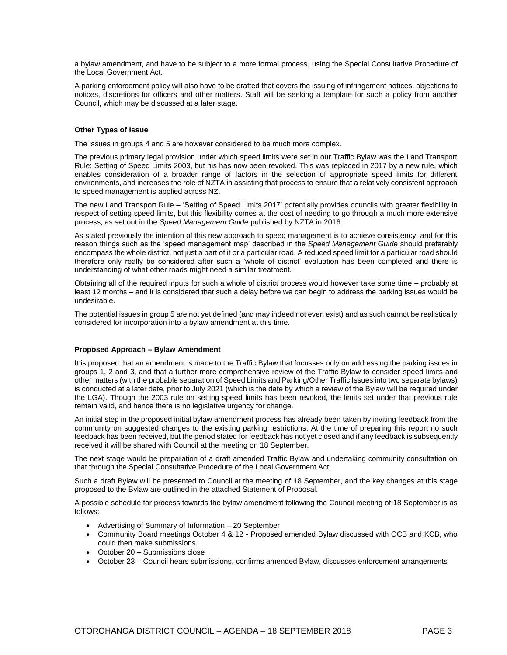a bylaw amendment, and have to be subject to a more formal process, using the Special Consultative Procedure of the Local Government Act.

A parking enforcement policy will also have to be drafted that covers the issuing of infringement notices, objections to notices, discretions for officers and other matters. Staff will be seeking a template for such a policy from another Council, which may be discussed at a later stage.

#### **Other Types of Issue**

The issues in groups 4 and 5 are however considered to be much more complex.

The previous primary legal provision under which speed limits were set in our Traffic Bylaw was the Land Transport Rule: Setting of Speed Limits 2003, but his has now been revoked. This was replaced in 2017 by a new rule, which enables consideration of a broader range of factors in the selection of appropriate speed limits for different environments, and increases the role of NZTA in assisting that process to ensure that a relatively consistent approach to speed management is applied across NZ.

The new Land Transport Rule – 'Setting of Speed Limits 2017' potentially provides councils with greater flexibility in respect of setting speed limits, but this flexibility comes at the cost of needing to go through a much more extensive process, as set out in the *Speed Management Guide* published by NZTA in 2016.

As stated previously the intention of this new approach to speed management is to achieve consistency, and for this reason things such as the 'speed management map' described in the *Speed Management Guide* should preferably encompass the whole district, not just a part of it or a particular road. A reduced speed limit for a particular road should therefore only really be considered after such a 'whole of district' evaluation has been completed and there is understanding of what other roads might need a similar treatment.

Obtaining all of the required inputs for such a whole of district process would however take some time – probably at least 12 months – and it is considered that such a delay before we can begin to address the parking issues would be undesirable.

The potential issues in group 5 are not yet defined (and may indeed not even exist) and as such cannot be realistically considered for incorporation into a bylaw amendment at this time.

#### **Proposed Approach – Bylaw Amendment**

It is proposed that an amendment is made to the Traffic Bylaw that focusses only on addressing the parking issues in groups 1, 2 and 3, and that a further more comprehensive review of the Traffic Bylaw to consider speed limits and other matters (with the probable separation of Speed Limits and Parking/Other Traffic Issues into two separate bylaws) is conducted at a later date, prior to July 2021 (which is the date by which a review of the Bylaw will be required under the LGA). Though the 2003 rule on setting speed limits has been revoked, the limits set under that previous rule remain valid, and hence there is no legislative urgency for change.

An initial step in the proposed initial bylaw amendment process has already been taken by inviting feedback from the community on suggested changes to the existing parking restrictions. At the time of preparing this report no such feedback has been received, but the period stated for feedback has not yet closed and if any feedback is subsequently received it will be shared with Council at the meeting on 18 September.

The next stage would be preparation of a draft amended Traffic Bylaw and undertaking community consultation on that through the Special Consultative Procedure of the Local Government Act.

Such a draft Bylaw will be presented to Council at the meeting of 18 September, and the key changes at this stage proposed to the Bylaw are outlined in the attached Statement of Proposal.

A possible schedule for process towards the bylaw amendment following the Council meeting of 18 September is as follows:

- Advertising of Summary of Information 20 September
- Community Board meetings October 4 & 12 Proposed amended Bylaw discussed with OCB and KCB, who could then make submissions.
- October 20 Submissions close
- October 23 Council hears submissions, confirms amended Bylaw, discusses enforcement arrangements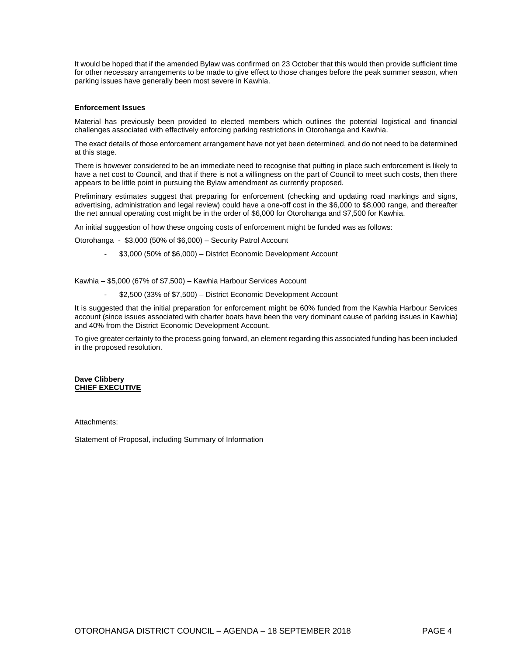It would be hoped that if the amended Bylaw was confirmed on 23 October that this would then provide sufficient time for other necessary arrangements to be made to give effect to those changes before the peak summer season, when parking issues have generally been most severe in Kawhia.

#### **Enforcement Issues**

Material has previously been provided to elected members which outlines the potential logistical and financial challenges associated with effectively enforcing parking restrictions in Otorohanga and Kawhia.

The exact details of those enforcement arrangement have not yet been determined, and do not need to be determined at this stage.

There is however considered to be an immediate need to recognise that putting in place such enforcement is likely to have a net cost to Council, and that if there is not a willingness on the part of Council to meet such costs, then there appears to be little point in pursuing the Bylaw amendment as currently proposed.

Preliminary estimates suggest that preparing for enforcement (checking and updating road markings and signs, advertising, administration and legal review) could have a one-off cost in the \$6,000 to \$8,000 range, and thereafter the net annual operating cost might be in the order of \$6,000 for Otorohanga and \$7,500 for Kawhia.

An initial suggestion of how these ongoing costs of enforcement might be funded was as follows:

Otorohanga - \$3,000 (50% of \$6,000) – Security Patrol Account

- \$3,000 (50% of \$6,000) – District Economic Development Account

Kawhia – \$5,000 (67% of \$7,500) – Kawhia Harbour Services Account

- \$2,500 (33% of \$7,500) – District Economic Development Account

It is suggested that the initial preparation for enforcement might be 60% funded from the Kawhia Harbour Services account (since issues associated with charter boats have been the very dominant cause of parking issues in Kawhia) and 40% from the District Economic Development Account.

To give greater certainty to the process going forward, an element regarding this associated funding has been included in the proposed resolution.

#### **Dave Clibbery CHIEF EXECUTIVE**

Attachments:

Statement of Proposal, including Summary of Information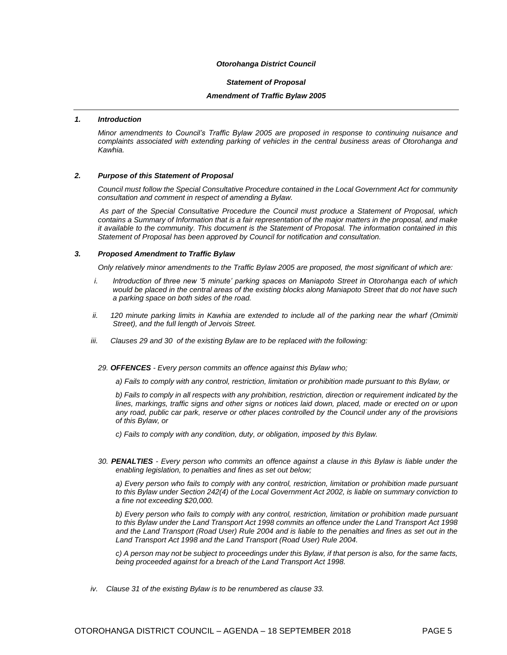#### *Otorohanga District Council*

#### *Statement of Proposal*

#### *Amendment of Traffic Bylaw 2005*

#### *1. Introduction*

*Minor amendments to Council's Traffic Bylaw 2005 are proposed in response to continuing nuisance and complaints associated with extending parking of vehicles in the central business areas of Otorohanga and Kawhia.*

#### *2. Purpose of this Statement of Proposal*

*Council must follow the Special Consultative Procedure contained in the Local Government Act for community consultation and comment in respect of amending a Bylaw.*

*As part of the Special Consultative Procedure the Council must produce a Statement of Proposal, which contains a Summary of Information that is a fair representation of the major matters in the proposal, and make it available to the community. This document is the Statement of Proposal. The information contained in this Statement of Proposal has been approved by Council for notification and consultation.*

#### *3. Proposed Amendment to Traffic Bylaw*

*Only relatively minor amendments to the Traffic Bylaw 2005 are proposed, the most significant of which are:*

- *i. Introduction of three new '5 minute' parking spaces on Maniapoto Street in Otorohanga each of which would be placed in the central areas of the existing blocks along Maniapoto Street that do not have such a parking space on both sides of the road.*
- *ii. 120 minute parking limits in Kawhia are extended to include all of the parking near the wharf (Omimiti Street), and the full length of Jervois Street.*
- *iii. Clauses 29 and 30 of the existing Bylaw are to be replaced with the following:*

*29. OFFENCES - Every person commits an offence against this Bylaw who;*

*a) Fails to comply with any control, restriction, limitation or prohibition made pursuant to this Bylaw, or*

*b) Fails to comply in all respects with any prohibition, restriction, direction or requirement indicated by the lines, markings, traffic signs and other signs or notices laid down, placed, made or erected on or upon any road, public car park, reserve or other places controlled by the Council under any of the provisions of this Bylaw, or*

- *c) Fails to comply with any condition, duty, or obligation, imposed by this Bylaw.*
- *30. PENALTIES - Every person who commits an offence against a clause in this Bylaw is liable under the enabling legislation, to penalties and fines as set out below;*

*a) Every person who fails to comply with any control, restriction, limitation or prohibition made pursuant to this Bylaw under Section 242(4) of the Local Government Act 2002, is liable on summary conviction to a fine not exceeding \$20,000.*

*b) Every person who fails to comply with any control, restriction, limitation or prohibition made pursuant to this Bylaw under the Land Transport Act 1998 commits an offence under the Land Transport Act 1998 and the Land Transport (Road User) Rule 2004 and is liable to the penalties and fines as set out in the Land Transport Act 1998 and the Land Transport (Road User) Rule 2004.*

*c) A person may not be subject to proceedings under this Bylaw, if that person is also, for the same facts, being proceeded against for a breach of the Land Transport Act 1998.*

*iv. Clause 31 of the existing Bylaw is to be renumbered as clause 33.*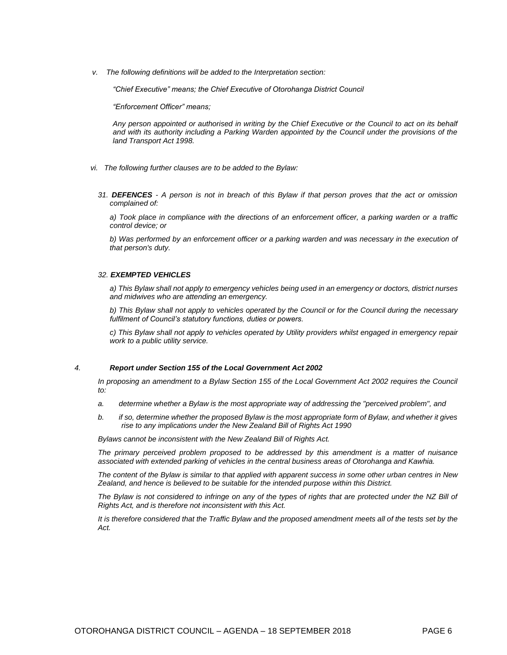*v. The following definitions will be added to the Interpretation section:*

*"Chief Executive" means; the Chief Executive of Otorohanga District Council*

*"Enforcement Officer" means;* 

*Any person appointed or authorised in writing by the Chief Executive or the Council to act on its behalf*  and with its authority including a Parking Warden appointed by the Council under the provisions of the *land Transport Act 1998.*

- *vi. The following further clauses are to be added to the Bylaw:*
	- *31. DEFENCES - A person is not in breach of this Bylaw if that person proves that the act or omission complained of:*

*a) Took place in compliance with the directions of an enforcement officer, a parking warden or a traffic control device; or*

*b) Was performed by an enforcement officer or a parking warden and was necessary in the execution of that person's duty.*

#### *32. EXEMPTED VEHICLES*

*a) This Bylaw shall not apply to emergency vehicles being used in an emergency or doctors, district nurses and midwives who are attending an emergency.*

*b) This Bylaw shall not apply to vehicles operated by the Council or for the Council during the necessary fulfilment of Council's statutory functions, duties or powers.*

*c) This Bylaw shall not apply to vehicles operated by Utility providers whilst engaged in emergency repair work to a public utility service.*

#### *4. Report under Section 155 of the Local Government Act 2002*

In proposing an amendment to a Bylaw Section 155 of the Local Government Act 2002 requires the Council *to:*

- *a. determine whether a Bylaw is the most appropriate way of addressing the "perceived problem", and*
- *b. if so, determine whether the proposed Bylaw is the most appropriate form of Bylaw, and whether it gives rise to any implications under the New Zealand Bill of Rights Act 1990*

*Bylaws cannot be inconsistent with the New Zealand Bill of Rights Act.*

*The primary perceived problem proposed to be addressed by this amendment is a matter of nuisance associated with extended parking of vehicles in the central business areas of Otorohanga and Kawhia.* 

*The content of the Bylaw is similar to that applied with apparent success in some other urban centres in New Zealand, and hence is believed to be suitable for the intended purpose within this District.*

The Bylaw is not considered to infringe on any of the types of rights that are protected under the NZ Bill of *Rights Act, and is therefore not inconsistent with this Act.*

*It is therefore considered that the Traffic Bylaw and the proposed amendment meets all of the tests set by the Act.*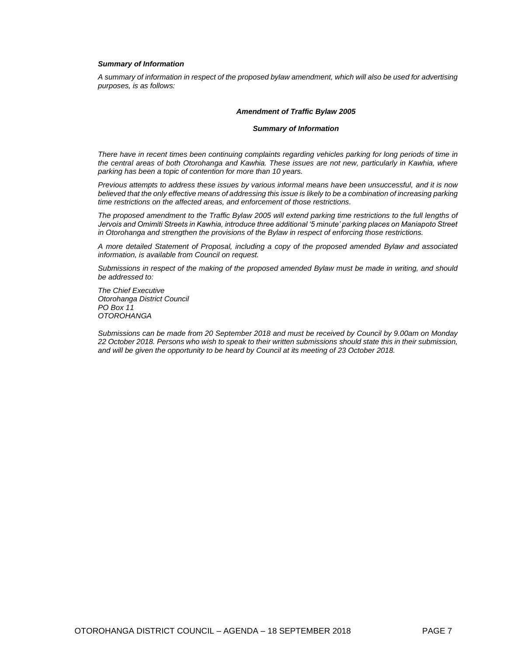#### *Summary of Information*

*A summary of information in respect of the proposed bylaw amendment, which will also be used for advertising purposes, is as follows:*

#### *Amendment of Traffic Bylaw 2005*

#### *Summary of Information*

*There have in recent times been continuing complaints regarding vehicles parking for long periods of time in the central areas of both Otorohanga and Kawhia. These issues are not new, particularly in Kawhia, where parking has been a topic of contention for more than 10 years.*

*Previous attempts to address these issues by various informal means have been unsuccessful, and it is now believed that the only effective means of addressing this issue is likely to be a combination of increasing parking time restrictions on the affected areas, and enforcement of those restrictions.* 

*The proposed amendment to the Traffic Bylaw 2005 will extend parking time restrictions to the full lengths of Jervois and Omimiti Streets in Kawhia, introduce three additional '5 minute' parking places on Maniapoto Street in Otorohanga and strengthen the provisions of the Bylaw in respect of enforcing those restrictions.*

*A more detailed Statement of Proposal, including a copy of the proposed amended Bylaw and associated information, is available from Council on request.*

*Submissions in respect of the making of the proposed amended Bylaw must be made in writing, and should be addressed to:*

*The Chief Executive Otorohanga District Council PO Box 11 OTOROHANGA*

*Submissions can be made from 20 September 2018 and must be received by Council by 9.00am on Monday 22 October 2018. Persons who wish to speak to their written submissions should state this in their submission, and will be given the opportunity to be heard by Council at its meeting of 23 October 2018.*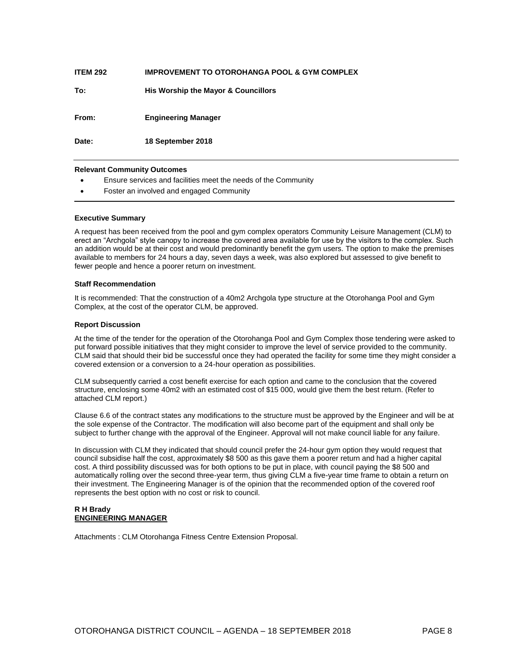| <b>ITEM 292</b> | <b>IMPROVEMENT TO OTOROHANGA POOL &amp; GYM COMPLEX</b> |
|-----------------|---------------------------------------------------------|
| To:             | His Worship the Mayor & Councillors                     |
| From:           | <b>Engineering Manager</b>                              |
| Date:           | 18 September 2018                                       |

#### **Relevant Community Outcomes**

- Ensure services and facilities meet the needs of the Community
- Foster an involved and engaged Community

#### **Executive Summary**

A request has been received from the pool and gym complex operators Community Leisure Management (CLM) to erect an "Archgola" style canopy to increase the covered area available for use by the visitors to the complex. Such an addition would be at their cost and would predominantly benefit the gym users. The option to make the premises available to members for 24 hours a day, seven days a week, was also explored but assessed to give benefit to fewer people and hence a poorer return on investment.

#### **Staff Recommendation**

It is recommended: That the construction of a 40m2 Archgola type structure at the Otorohanga Pool and Gym Complex, at the cost of the operator CLM, be approved.

#### **Report Discussion**

At the time of the tender for the operation of the Otorohanga Pool and Gym Complex those tendering were asked to put forward possible initiatives that they might consider to improve the level of service provided to the community. CLM said that should their bid be successful once they had operated the facility for some time they might consider a covered extension or a conversion to a 24-hour operation as possibilities.

CLM subsequently carried a cost benefit exercise for each option and came to the conclusion that the covered structure, enclosing some 40m2 with an estimated cost of \$15 000, would give them the best return. (Refer to attached CLM report.)

Clause 6.6 of the contract states any modifications to the structure must be approved by the Engineer and will be at the sole expense of the Contractor. The modification will also become part of the equipment and shall only be subject to further change with the approval of the Engineer. Approval will not make council liable for any failure.

In discussion with CLM they indicated that should council prefer the 24-hour gym option they would request that council subsidise half the cost, approximately \$8 500 as this gave them a poorer return and had a higher capital cost. A third possibility discussed was for both options to be put in place, with council paying the \$8 500 and automatically rolling over the second three-year term, thus giving CLM a five-year time frame to obtain a return on their investment. The Engineering Manager is of the opinion that the recommended option of the covered roof represents the best option with no cost or risk to council.

#### **R H Brady ENGINEERING MANAGER**

Attachments : CLM Otorohanga Fitness Centre Extension Proposal.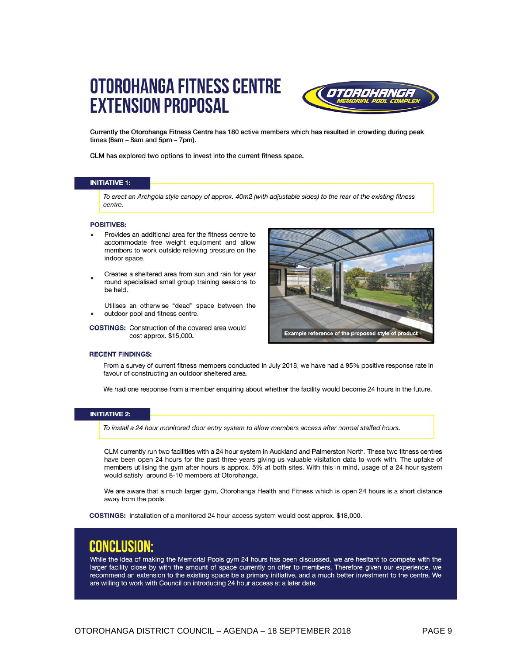# **OTOROHANGA FITNESS CENTRE EXTENSION PROPOSAL**



Currently the Otorohanga Fitness Centre has 180 active members which has resulted in crowding during peak times (6am  $-$  8am and 5pm  $-$  7pm).

CLM has explored two options to invest into the current fitness space.

#### **INITIATIVE 1:**

To erect an Archgola style canopy of approx. 40m2 (with adjustable sides) to the rear of the existing fitness centre.

#### **POSITIVES:**

- Provides an additional area for the fitness centre to accommodate free weight equipment and allow members to work outside relieving pressure on the indoor space.
- Creates a sheltered area from sun and rain for year round specialised small group training sessions to be held.
- Utilises an otherwise "dead" space between the outdoor pool and fitness centre.

**COSTINGS:** Construction of the covered area would cost approx. \$15,000.



From a survey of current fitness members conducted in July 2018, we have had a 95% positive response rate in favour of constructing an outdoor sheltered area.

We had one response from a member enquiring about whether the facility would become 24 hours in the future.

#### **INITIATIVE 2:**

To install a 24 hour monitored door entry system to allow members access after normal staffed hours.

CLM currently run two facilities with a 24 hour system in Auckland and Palmerston North. These two fitness centres have been open 24 hours for the past three years giving us valuable visitation data to work with. The uptake of members utilising the gym after hours is approx. 5% at both sites. With this in mind, usage of a 24 hour system would satisfy around 8-10 members at Otorohanga.

We are aware that a much larger gym, Otorohanga Health and Fitness which is open 24 hours is a short distance away from the pools.

COSTINGS: Installation of a monitored 24 hour access system would cost approx. \$18,000.

### **CONCLUSION:**

While the idea of making the Memorial Pools gym 24 hours has been discussed, we are hesitant to compete with the larger facility close by with the amount of space currently on offer to members. Therefore given our experience, we recommend an extension to the existing space be a primary initiative, and a much better investment to the centre. We are willing to work with Council on introducing 24 hour access at a later date.

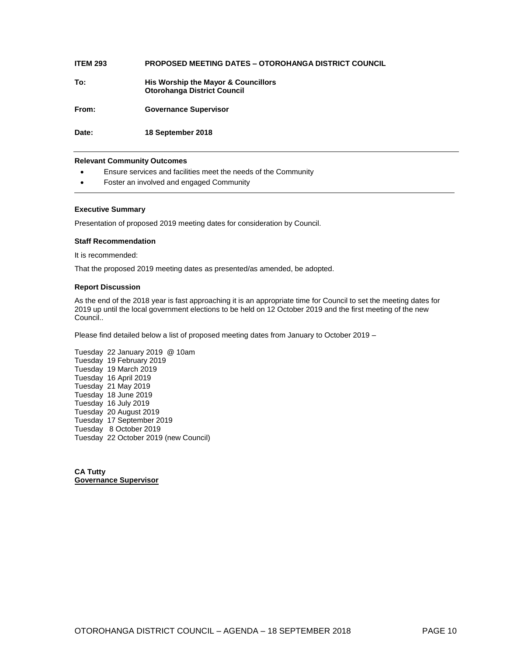## **ITEM 293 PROPOSED MEETING DATES – OTOROHANGA DISTRICT COUNCIL To: His Worship the Mayor & Councillors Otorohanga District Council From: Governance Supervisor Date: 18 September 2018**

#### **Relevant Community Outcomes**

- Ensure services and facilities meet the needs of the Community
- Foster an involved and engaged Community

#### **Executive Summary**

Presentation of proposed 2019 meeting dates for consideration by Council.

#### **Staff Recommendation**

It is recommended:

That the proposed 2019 meeting dates as presented/as amended, be adopted.

#### **Report Discussion**

As the end of the 2018 year is fast approaching it is an appropriate time for Council to set the meeting dates for 2019 up until the local government elections to be held on 12 October 2019 and the first meeting of the new Council..

Please find detailed below a list of proposed meeting dates from January to October 2019 –

Tuesday 22 January 2019 @ 10am Tuesday 19 February 2019 Tuesday 19 March 2019 Tuesday 16 April 2019 Tuesday 21 May 2019 Tuesday 18 June 2019 Tuesday 16 July 2019 Tuesday 20 August 2019 Tuesday 17 September 2019 Tuesday 8 October 2019 Tuesday 22 October 2019 (new Council)

**CA Tutty Governance Supervisor**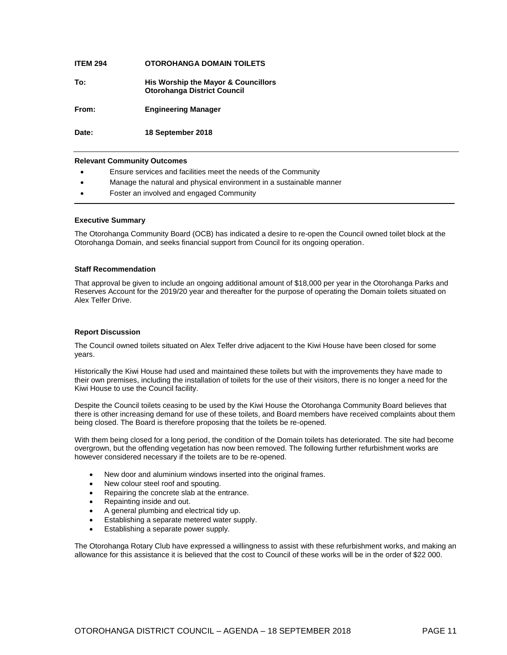# **ITEM 294 OTOROHANGA DOMAIN TOILETS To: His Worship the Mayor & Councillors Otorohanga District Council From: Engineering Manager**

**Date: 18 September 2018**

#### **Relevant Community Outcomes**

- Ensure services and facilities meet the needs of the Community
- Manage the natural and physical environment in a sustainable manner
- Foster an involved and engaged Community

#### **Executive Summary**

The Otorohanga Community Board (OCB) has indicated a desire to re-open the Council owned toilet block at the Otorohanga Domain, and seeks financial support from Council for its ongoing operation.

#### **Staff Recommendation**

That approval be given to include an ongoing additional amount of \$18,000 per year in the Otorohanga Parks and Reserves Account for the 2019/20 year and thereafter for the purpose of operating the Domain toilets situated on Alex Telfer Drive.

#### **Report Discussion**

The Council owned toilets situated on Alex Telfer drive adjacent to the Kiwi House have been closed for some years.

Historically the Kiwi House had used and maintained these toilets but with the improvements they have made to their own premises, including the installation of toilets for the use of their visitors, there is no longer a need for the Kiwi House to use the Council facility.

Despite the Council toilets ceasing to be used by the Kiwi House the Otorohanga Community Board believes that there is other increasing demand for use of these toilets, and Board members have received complaints about them being closed. The Board is therefore proposing that the toilets be re-opened.

With them being closed for a long period, the condition of the Domain toilets has deteriorated. The site had become overgrown, but the offending vegetation has now been removed. The following further refurbishment works are however considered necessary if the toilets are to be re-opened.

- New door and aluminium windows inserted into the original frames.
- New colour steel roof and spouting.
- Repairing the concrete slab at the entrance.
- Repainting inside and out.
- A general plumbing and electrical tidy up.
- Establishing a separate metered water supply.
- Establishing a separate power supply.

The Otorohanga Rotary Club have expressed a willingness to assist with these refurbishment works, and making an allowance for this assistance it is believed that the cost to Council of these works will be in the order of \$22 000.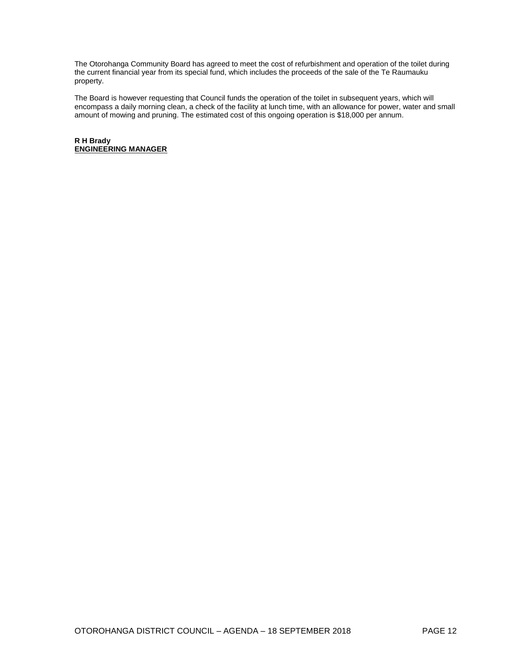The Otorohanga Community Board has agreed to meet the cost of refurbishment and operation of the toilet during the current financial year from its special fund, which includes the proceeds of the sale of the Te Raumauku property.

The Board is however requesting that Council funds the operation of the toilet in subsequent years, which will encompass a daily morning clean, a check of the facility at lunch time, with an allowance for power, water and small amount of mowing and pruning. The estimated cost of this ongoing operation is \$18,000 per annum.

**R H Brady ENGINEERING MANAGER**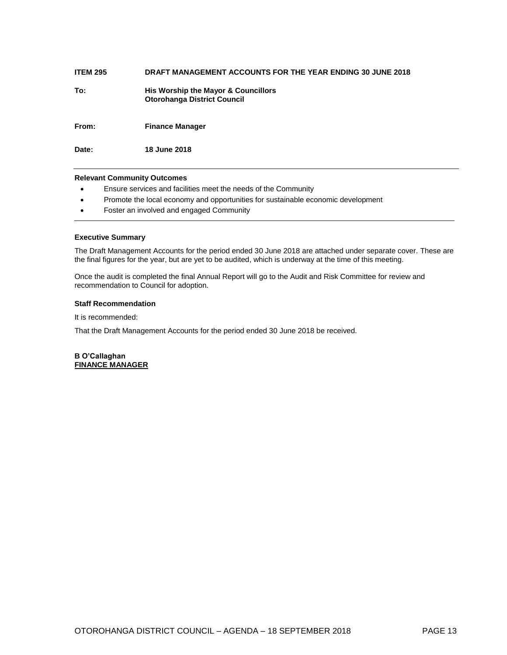| <b>ITEM 295</b> | DRAFT MANAGEMENT ACCOUNTS FOR THE YEAR ENDING 30 JUNE 2018                |
|-----------------|---------------------------------------------------------------------------|
| To:             | His Worship the Mayor & Councillors<br><b>Otorohanga District Council</b> |
| From:           | <b>Finance Manager</b>                                                    |
| Date:           | <b>18 June 2018</b>                                                       |

#### **Relevant Community Outcomes**

- Ensure services and facilities meet the needs of the Community
- Promote the local economy and opportunities for sustainable economic development
- Foster an involved and engaged Community

#### **Executive Summary**

The Draft Management Accounts for the period ended 30 June 2018 are attached under separate cover. These are the final figures for the year, but are yet to be audited, which is underway at the time of this meeting.

Once the audit is completed the final Annual Report will go to the Audit and Risk Committee for review and recommendation to Council for adoption.

#### **Staff Recommendation**

It is recommended:

That the Draft Management Accounts for the period ended 30 June 2018 be received.

**B O'Callaghan FINANCE MANAGER**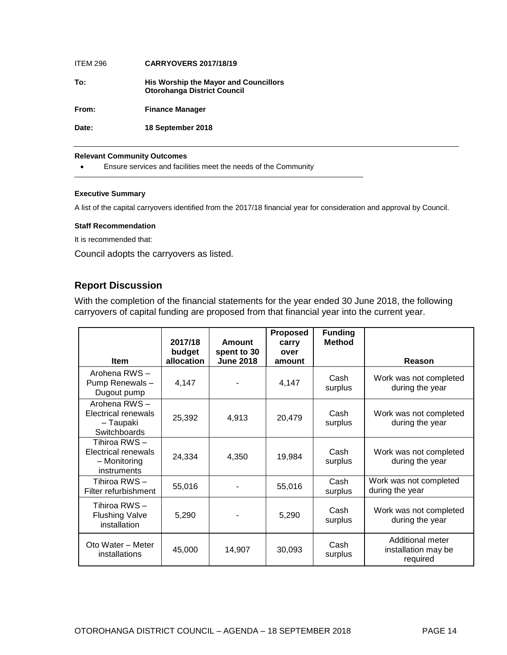## ITEM 296 **CARRYOVERS 2017/18/19 To: His Worship the Mayor and Councillors Otorohanga District Council From: Finance Manager Date: 18 September 2018**

#### **Relevant Community Outcomes**

Ensure services and facilities meet the needs of the Community

#### **Executive Summary**

A list of the capital carryovers identified from the 2017/18 financial year for consideration and approval by Council.

#### **Staff Recommendation**

It is recommended that:

Council adopts the carryovers as listed.

#### **Report Discussion**

With the completion of the financial statements for the year ended 30 June 2018, the following carryovers of capital funding are proposed from that financial year into the current year.

|                                                                            | 2017/18<br>budget | Amount<br>spent to 30 | <b>Proposed</b><br>carry<br>over | <b>Funding</b><br><b>Method</b> |                                                     |
|----------------------------------------------------------------------------|-------------------|-----------------------|----------------------------------|---------------------------------|-----------------------------------------------------|
| <b>Item</b>                                                                | allocation        | <b>June 2018</b>      | amount                           |                                 | Reason                                              |
| Arohena RWS-<br>Pump Renewals-<br>Dugout pump                              | 4,147             |                       | 4,147                            | Cash<br>surplus                 | Work was not completed<br>during the year           |
| Arohena RWS-<br>Electrical renewals<br>- Taupaki<br>Switchboards           | 25,392            | 4,913                 | 20,479                           | Cash<br>surplus                 | Work was not completed<br>during the year           |
| Tihiroa RWS -<br>Electrical renewals<br>- Monitoring<br><i>instruments</i> | 24,334            | 4,350                 | 19,984                           | Cash<br>surplus                 | Work was not completed<br>during the year           |
| Tihiroa RWS-<br>Filter refurbishment                                       | 55,016            |                       | 55,016                           | Cash<br>surplus                 | Work was not completed<br>during the year           |
| Tihiroa RWS -<br><b>Flushing Valve</b><br>installation                     | 5,290             |                       | 5,290                            | Cash<br>surplus                 | Work was not completed<br>during the year           |
| Oto Water - Meter<br>installations                                         | 45,000            | 14,907                | 30,093                           | Cash<br>surplus                 | Additional meter<br>installation may be<br>required |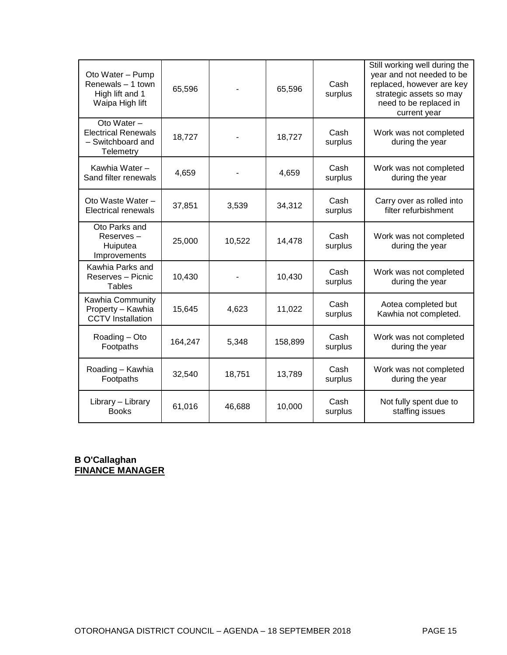| Oto Water - Pump<br>Renewals - 1 town<br>High lift and 1<br>Waipa High lift | 65,596  |        | 65,596  | Cash<br>surplus | Still working well during the<br>year and not needed to be<br>replaced, however are key<br>strategic assets so may<br>need to be replaced in<br>current year |
|-----------------------------------------------------------------------------|---------|--------|---------|-----------------|--------------------------------------------------------------------------------------------------------------------------------------------------------------|
| Oto Water -<br><b>Electrical Renewals</b><br>- Switchboard and<br>Telemetry | 18,727  |        | 18,727  | Cash<br>surplus | Work was not completed<br>during the year                                                                                                                    |
| Kawhia Water-<br>Sand filter renewals                                       | 4,659   |        | 4,659   | Cash<br>surplus | Work was not completed<br>during the year                                                                                                                    |
| Oto Waste Water -<br><b>Electrical renewals</b>                             | 37,851  | 3,539  | 34,312  | Cash<br>surplus | Carry over as rolled into<br>filter refurbishment                                                                                                            |
| Oto Parks and<br>Reserves-<br>Huiputea<br>Improvements                      | 25,000  | 10,522 | 14,478  | Cash<br>surplus | Work was not completed<br>during the year                                                                                                                    |
| Kawhia Parks and<br>Reserves - Picnic<br>Tables                             | 10,430  |        | 10,430  | Cash<br>surplus | Work was not completed<br>during the year                                                                                                                    |
| Kawhia Community<br>Property - Kawhia<br><b>CCTV</b> Installation           | 15,645  | 4,623  | 11,022  | Cash<br>surplus | Aotea completed but<br>Kawhia not completed.                                                                                                                 |
| Roading - Oto<br>Footpaths                                                  | 164,247 | 5,348  | 158,899 | Cash<br>surplus | Work was not completed<br>during the year                                                                                                                    |
| Roading - Kawhia<br>Footpaths                                               | 32,540  | 18,751 | 13,789  | Cash<br>surplus | Work was not completed<br>during the year                                                                                                                    |
| Library - Library<br><b>Books</b>                                           | 61,016  | 46,688 | 10,000  | Cash<br>surplus | Not fully spent due to<br>staffing issues                                                                                                                    |

**B O'Callaghan FINANCE MANAGER**